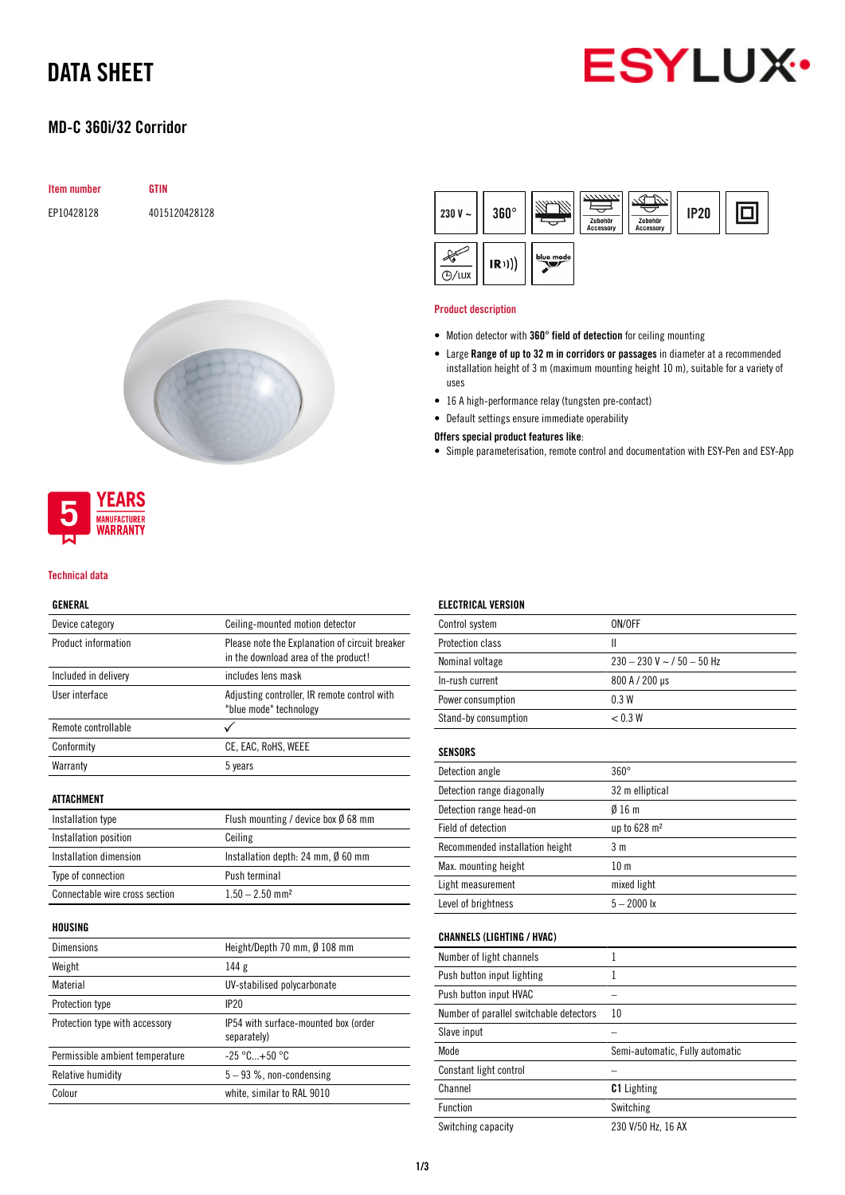### DATA SHEET

# **ESYLUX**

#### MD-C 360i/32 Corridor

| <b>Item number</b> | <b>GTIN</b>   |
|--------------------|---------------|
| EP10428128         | 4015120428128 |



#### **YEARS MANUFACTURER WARRANTY**

#### Technical data

#### GENERAL

| Device category                 | Ceiling-mounted motion detector                                                        |  |  |
|---------------------------------|----------------------------------------------------------------------------------------|--|--|
| Product information             | Please note the Explanation of circuit breaker<br>in the download area of the product! |  |  |
| Included in delivery            | includes lens mask                                                                     |  |  |
| User interface                  | Adjusting controller, IR remote control with<br>"blue mode" technology                 |  |  |
| Remote controllable             |                                                                                        |  |  |
| Conformity                      | CE, EAC, RoHS, WEEE                                                                    |  |  |
| Warranty                        | 5 years                                                                                |  |  |
| <b>ATTACHMENT</b>               |                                                                                        |  |  |
| Installation type               | Flush mounting / device box $\emptyset$ 68 mm                                          |  |  |
| Installation position           | Ceiling                                                                                |  |  |
| Installation dimension          | Installation depth: 24 mm, $\emptyset$ 60 mm                                           |  |  |
| Type of connection              | Push terminal                                                                          |  |  |
| Connectable wire cross section  | $1.50 - 2.50$ mm <sup>2</sup>                                                          |  |  |
| <b>HOUSING</b>                  |                                                                                        |  |  |
| <b>Dimensions</b>               | Height/Depth 70 mm, Ø 108 mm                                                           |  |  |
| Weight                          | 144 g                                                                                  |  |  |
| Material                        | UV-stabilised polycarbonate                                                            |  |  |
| Protection type                 | IP20                                                                                   |  |  |
| Protection type with accessory  | IP54 with surface-mounted box (order<br>separately)                                    |  |  |
| Permissible ambient temperature | $-25 °C+50 °C$                                                                         |  |  |
| Relative humidity               | $5-93$ %, non-condensing                                                               |  |  |
| Colour                          | white, similar to RAL 9010                                                             |  |  |
|                                 |                                                                                        |  |  |

#### **REA** 回  $230 V 360^\circ$ **IP20** Zubehi<br>Access Zub  $\begin{picture}(120,115) \put(0,0){\vector(1,0){15}} \put(15,0){\vector(1,0){15}} \put(15,0){\vector(1,0){15}} \put(15,0){\vector(1,0){15}} \put(15,0){\vector(1,0){15}} \put(15,0){\vector(1,0){15}} \put(15,0){\vector(1,0){15}} \put(15,0){\vector(1,0){15}} \put(15,0){\vector(1,0){15}} \put(15,0){\vector(1,0){15}} \put(15,0){\vector(1,0){15}} \put(15,0){\vector$ blue mode  $(R))$  $O/H$

#### Product description

- Motion detector with 360° field of detection for ceiling mounting
- Large Range of up to 32 m in corridors or passages in diameter at a recommended installation height of 3 m (maximum mounting height 10 m), suitable for a variety of uses
- 16 A high-performance relay (tungsten pre-contact)
- Default settings ensure immediate operability

#### Offers special product features like:

• Simple parameterisation, remote control and documentation with ESY-Pen and ESY-App

| <b>ELECTRICAL VERSION</b>               |                                 |  |  |
|-----------------------------------------|---------------------------------|--|--|
| Control system                          | ON/OFF                          |  |  |
| Protection class                        | $\mathsf{II}$                   |  |  |
| Nominal voltage                         | $230 - 230$ V ~ $/$ 50 - 50 Hz  |  |  |
| In-rush current                         | 800 A / 200 µs                  |  |  |
| Power consumption                       | 0.3W                            |  |  |
| Stand-by consumption                    | < 0.3 W                         |  |  |
| <b>SENSORS</b>                          |                                 |  |  |
| Detection angle                         | $360^\circ$                     |  |  |
| Detection range diagonally              | 32 m elliptical                 |  |  |
| Detection range head-on                 | 016m                            |  |  |
| Field of detection                      | up to 628 m <sup>2</sup>        |  |  |
| Recommended installation height         | 3 <sub>m</sub>                  |  |  |
| Max. mounting height                    | 10 <sub>m</sub>                 |  |  |
| Light measurement                       | mixed light                     |  |  |
| Level of brightness                     | $5 - 2000$ lx                   |  |  |
| <b>CHANNELS (LIGHTING / HVAC)</b>       |                                 |  |  |
| Number of light channels                | 1                               |  |  |
| Push button input lighting              | 1                               |  |  |
| Push button input HVAC                  |                                 |  |  |
| Number of parallel switchable detectors | 10                              |  |  |
| Slave input                             |                                 |  |  |
| Mode                                    | Semi-automatic, Fully automatic |  |  |
| Constant light control                  |                                 |  |  |
| Channel                                 | <b>C1</b> Lighting              |  |  |
| Function                                | Switching                       |  |  |
| Switching capacity                      | 230 V/50 Hz. 16 AX              |  |  |

1/3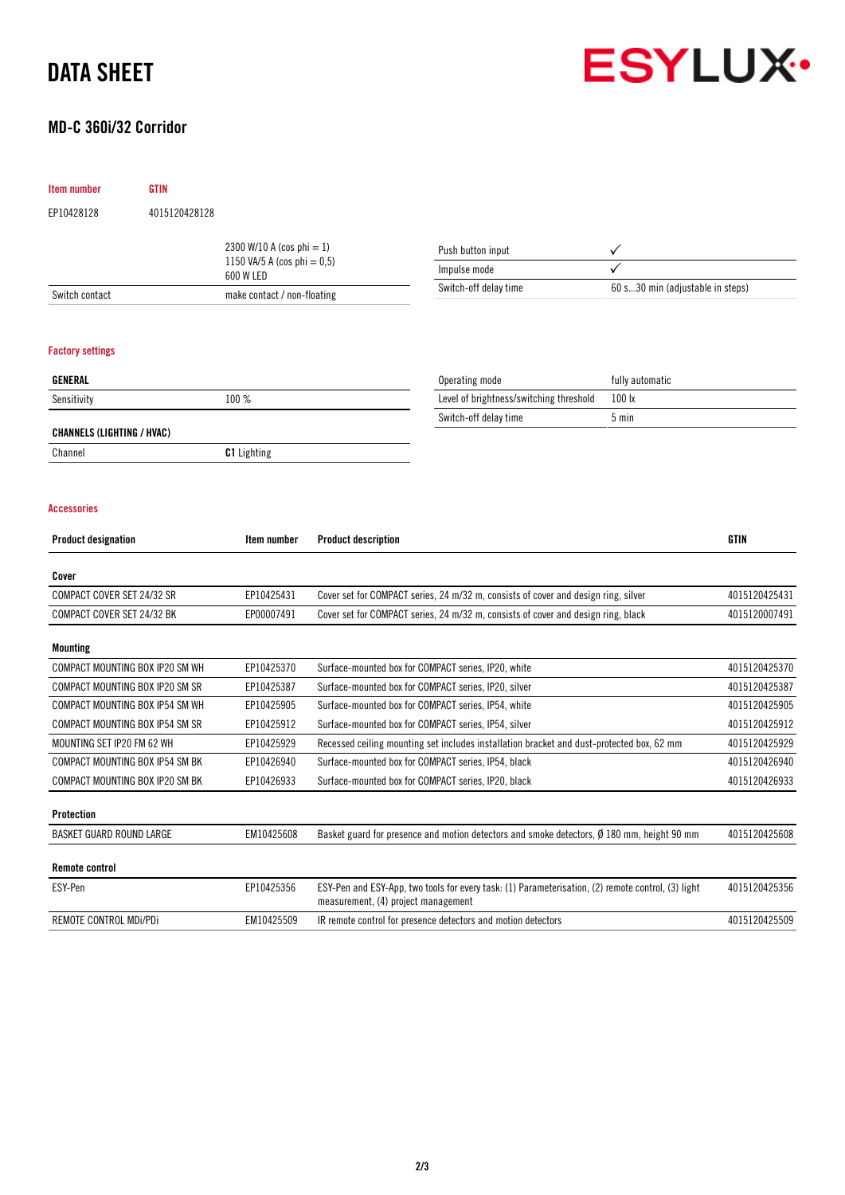### DATA SHEET

#### MD-C 360i/32 Corridor



| Item number                       | <b>GTIN</b>                              |                                                             |                                     |                                                                                                    |                                  |               |
|-----------------------------------|------------------------------------------|-------------------------------------------------------------|-------------------------------------|----------------------------------------------------------------------------------------------------|----------------------------------|---------------|
| EP10428128                        | 4015120428128                            |                                                             |                                     |                                                                                                    |                                  |               |
|                                   |                                          | 2300 W/10 A (cos phi = 1)<br>1150 VA/5 A (cos phi = $0,5$ ) |                                     | Push button input<br>✓                                                                             |                                  |               |
|                                   |                                          |                                                             |                                     | Impulse mode                                                                                       |                                  |               |
| Switch contact                    | 600 W LED<br>make contact / non-floating |                                                             |                                     | Switch-off delay time                                                                              | 60 s30 min (adjustable in steps) |               |
|                                   |                                          |                                                             |                                     |                                                                                                    |                                  |               |
| <b>Factory settings</b>           |                                          |                                                             |                                     |                                                                                                    |                                  |               |
| <b>GENERAL</b>                    |                                          |                                                             |                                     | Operating mode                                                                                     | fully automatic                  |               |
| Sensitivity                       |                                          | 100 %                                                       |                                     | Level of brightness/switching threshold                                                            | 100 lx                           |               |
| <b>CHANNELS (LIGHTING / HVAC)</b> |                                          |                                                             |                                     | Switch-off delay time                                                                              | 5 min                            |               |
| Channel                           |                                          | <b>C1</b> Lighting                                          |                                     |                                                                                                    |                                  |               |
|                                   |                                          |                                                             |                                     |                                                                                                    |                                  |               |
|                                   |                                          |                                                             |                                     |                                                                                                    |                                  |               |
| <b>Accessories</b>                |                                          |                                                             |                                     |                                                                                                    |                                  |               |
| <b>Product designation</b>        |                                          | Item number                                                 | <b>Product description</b>          |                                                                                                    |                                  | <b>GTIN</b>   |
| Cover                             |                                          |                                                             |                                     |                                                                                                    |                                  |               |
| COMPACT COVER SET 24/32 SR        |                                          | EP10425431                                                  |                                     | Cover set for COMPACT series, 24 m/32 m, consists of cover and design ring, silver                 |                                  | 4015120425431 |
| COMPACT COVER SET 24/32 BK        |                                          | EP00007491                                                  |                                     | Cover set for COMPACT series, 24 m/32 m, consists of cover and design ring, black                  |                                  | 4015120007491 |
| <b>Mounting</b>                   |                                          |                                                             |                                     |                                                                                                    |                                  |               |
|                                   | COMPACT MOUNTING BOX IP20 SM WH          | EP10425370                                                  |                                     | Surface-mounted box for COMPACT series, IP20, white                                                |                                  | 4015120425370 |
|                                   | COMPACT MOUNTING BOX IP20 SM SR          | EP10425387                                                  |                                     | Surface-mounted box for COMPACT series, IP20, silver                                               |                                  | 4015120425387 |
|                                   | COMPACT MOUNTING BOX IP54 SM WH          | EP10425905                                                  |                                     | Surface-mounted box for COMPACT series, IP54, white                                                |                                  | 4015120425905 |
|                                   | COMPACT MOUNTING BOX IP54 SM SR          | EP10425912                                                  |                                     | Surface-mounted box for COMPACT series, IP54, silver                                               |                                  | 4015120425912 |
| MOUNTING SET IP20 FM 62 WH        |                                          | EP10425929                                                  |                                     | Recessed ceiling mounting set includes installation bracket and dust-protected box, 62 mm          |                                  | 4015120425929 |
|                                   | COMPACT MOUNTING BOX IP54 SM BK          | EP10426940                                                  |                                     | Surface-mounted box for COMPACT series, IP54, black                                                |                                  | 4015120426940 |
|                                   | COMPACT MOUNTING BOX IP20 SM BK          | EP10426933                                                  |                                     | Surface-mounted box for COMPACT series, IP20, black                                                |                                  | 4015120426933 |
| Protection                        |                                          |                                                             |                                     |                                                                                                    |                                  |               |
| BASKET GUARD ROUND LARGE          |                                          | EM10425608                                                  |                                     | Basket guard for presence and motion detectors and smoke detectors, Ø 180 mm, height 90 mm         |                                  | 4015120425608 |
| <b>Remote control</b>             |                                          |                                                             |                                     |                                                                                                    |                                  |               |
| ESY-Pen                           |                                          | EP10425356                                                  | measurement, (4) project management | ESY-Pen and ESY-App, two tools for every task: (1) Parameterisation, (2) remote control, (3) light |                                  | 4015120425356 |
| REMOTE CONTROL MDi/PDi            |                                          | EM10425509                                                  |                                     | IR remote control for presence detectors and motion detectors                                      |                                  | 4015120425509 |
|                                   |                                          |                                                             |                                     |                                                                                                    |                                  |               |